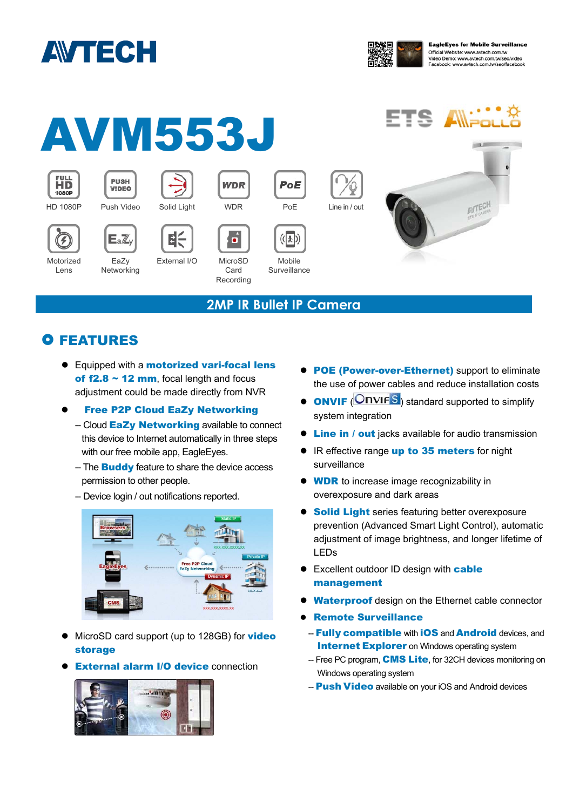



AVTEC

#### AVM553J FULL<br>1080P **PUSH WDR** PoE **VIDEO** HD 1080P Push Video Solid Light WDR PoE Line in / out  $\epsilon$  $\vec{a}$  $(\sqrt{1})$  $E_a\mathbb{Z}$ Ŧ

### **2MP IR Bullet IP Camera**

Mobile **Surveillance** 

## **O FEATURES**

EaZy **Networking** 

Motorized Lens

> ● Equipped with a **motorized vari-focal lens** of  $f2.8 \sim 12$  mm, focal length and focus adjustment could be made directly from NVR

External I/O MicroSD

Card Recording

#### Free P2P Cloud EaZy Networking

- -- Cloud EaZy Networking available to connect this device to Internet automatically in three steps with our free mobile app, EagleEyes.
- -- The **Buddy** feature to share the device access permission to other people.
- -- Device login / out notifications reported.



- MicroSD card support (up to 128GB) for video storage
- **External alarm I/O device connection**



- **POE (Power-over-Ethernet)** support to eliminate the use of power cables and reduce installation costs
- **ONVIF** (ONVIFS) standard supported to simplify system integration
- **Cine in / out** jacks available for audio transmission
- IR effective range up to 35 meters for night surveillance
- **WDR** to increase image recognizability in overexposure and dark areas
- **Solid Light** series featuring better overexposure prevention (Advanced Smart Light Control), automatic adjustment of image brightness, and longer lifetime of LEDs
- Excellent outdoor ID design with cable management
- **Waterproof** design on the Ethernet cable connector
- Remote Surveillance
	- Fully compatible with iOS and Android devices, and **Internet Explorer** on Windows operating system
	- -- Free PC program, **CMS Lite**, for 32CH devices monitoring on Windows operating system
	- **Push Video** available on your iOS and Android devices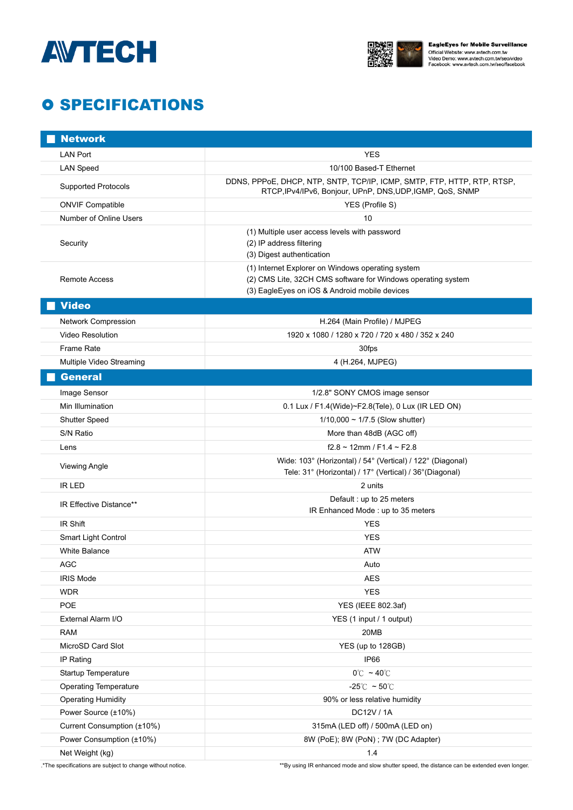



# **O SPECIFICATIONS**

| <b>Network</b>                                              |                                                                                                                                      |
|-------------------------------------------------------------|--------------------------------------------------------------------------------------------------------------------------------------|
| <b>LAN Port</b>                                             | <b>YES</b>                                                                                                                           |
| <b>LAN Speed</b>                                            | 10/100 Based-T Ethernet                                                                                                              |
| <b>Supported Protocols</b>                                  | DDNS, PPPoE, DHCP, NTP, SNTP, TCP/IP, ICMP, SMTP, FTP, HTTP, RTP, RTSP,<br>RTCP, IPv4/IPv6, Bonjour, UPnP, DNS, UDP, IGMP, QoS, SNMP |
| <b>ONVIF Compatible</b>                                     | YES (Profile S)                                                                                                                      |
| Number of Online Users                                      | 10                                                                                                                                   |
| Security                                                    | (1) Multiple user access levels with password                                                                                        |
|                                                             | (2) IP address filtering                                                                                                             |
|                                                             | (3) Digest authentication                                                                                                            |
| <b>Remote Access</b>                                        | (1) Internet Explorer on Windows operating system                                                                                    |
|                                                             | (2) CMS Lite, 32CH CMS software for Windows operating system<br>(3) EagleEyes on iOS & Android mobile devices                        |
| <b>Video</b>                                                |                                                                                                                                      |
|                                                             |                                                                                                                                      |
| <b>Network Compression</b>                                  | H.264 (Main Profile) / MJPEG                                                                                                         |
| <b>Video Resolution</b>                                     | 1920 x 1080 / 1280 x 720 / 720 x 480 / 352 x 240                                                                                     |
| Frame Rate                                                  | 30fps                                                                                                                                |
| Multiple Video Streaming                                    | 4 (H.264, MJPEG)                                                                                                                     |
| <b>General</b>                                              |                                                                                                                                      |
| Image Sensor                                                | 1/2.8" SONY CMOS image sensor                                                                                                        |
| Min Illumination                                            | 0.1 Lux / F1.4(Wide)~F2.8(Tele), 0 Lux (IR LED ON)                                                                                   |
| Shutter Speed                                               | $1/10,000 \sim 1/7.5$ (Slow shutter)                                                                                                 |
| S/N Ratio                                                   | More than 48dB (AGC off)                                                                                                             |
| Lens                                                        | $f2.8 \sim 12$ mm / F1.4 ~ F2.8                                                                                                      |
| <b>Viewing Angle</b>                                        | Wide: 103° (Horizontal) / 54° (Vertical) / 122° (Diagonal)<br>Tele: 31° (Horizontal) / 17° (Vertical) / 36° (Diagonal)               |
| <b>IR LED</b>                                               | 2 units                                                                                                                              |
| IR Effective Distance**                                     | Default: up to 25 meters<br>IR Enhanced Mode: up to 35 meters                                                                        |
| IR Shift                                                    | <b>YES</b>                                                                                                                           |
| Smart Light Control                                         | <b>YES</b>                                                                                                                           |
| <b>White Balance</b>                                        | <b>ATW</b>                                                                                                                           |
| AGC                                                         | Auto                                                                                                                                 |
| <b>IRIS Mode</b>                                            | <b>AES</b>                                                                                                                           |
| <b>WDR</b>                                                  | <b>YES</b>                                                                                                                           |
| POE                                                         | YES (IEEE 802.3af)                                                                                                                   |
| External Alarm I/O                                          | YES (1 input / 1 output)                                                                                                             |
| <b>RAM</b>                                                  | 20MB                                                                                                                                 |
| MicroSD Card Slot                                           | YES (up to 128GB)                                                                                                                    |
| IP Rating                                                   | IP66                                                                                                                                 |
| Startup Temperature                                         | $0^{\circ}$ ~ 40 $^{\circ}$ C                                                                                                        |
| <b>Operating Temperature</b>                                | $-25^{\circ}$ C ~ 50 $^{\circ}$ C                                                                                                    |
| <b>Operating Humidity</b>                                   | 90% or less relative humidity                                                                                                        |
| Power Source (±10%)                                         | DC12V / 1A                                                                                                                           |
| Current Consumption (±10%)                                  | 315mA (LED off) / 500mA (LED on)                                                                                                     |
| Power Consumption (±10%)                                    | 8W (PoE); 8W (PoN) ; 7W (DC Adapter)                                                                                                 |
| Net Weight (kg)                                             | 1.4                                                                                                                                  |
| .* The specifications are subject to change without notice. | **By using IR enhanced mode and slow shutter speed, the distance can be extended even longer.                                        |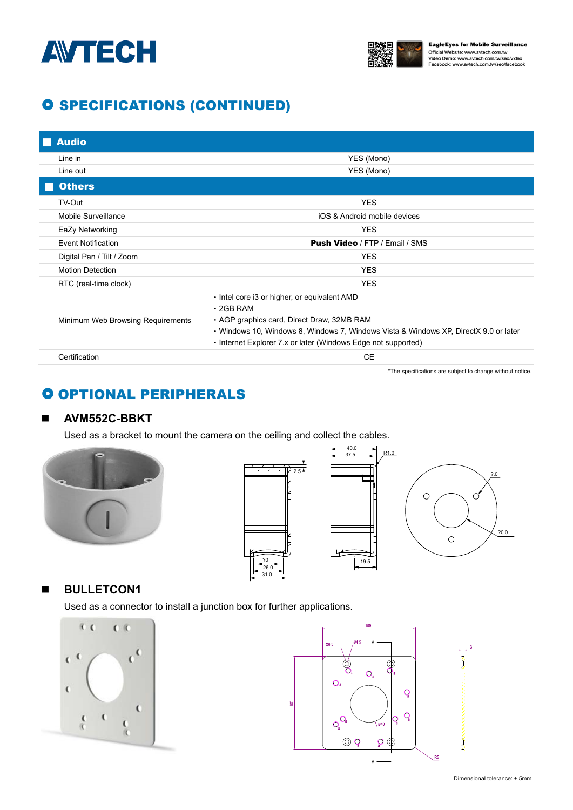



# **O SPECIFICATIONS (CONTINUED)**

| <b>Audio</b>                      |                                                                                                                                                                                                                                                                        |
|-----------------------------------|------------------------------------------------------------------------------------------------------------------------------------------------------------------------------------------------------------------------------------------------------------------------|
| Line in                           | YES (Mono)                                                                                                                                                                                                                                                             |
| Line out                          | YES (Mono)                                                                                                                                                                                                                                                             |
| <b>Others</b>                     |                                                                                                                                                                                                                                                                        |
| TV-Out                            | <b>YES</b>                                                                                                                                                                                                                                                             |
| Mobile Surveillance               | iOS & Android mobile devices                                                                                                                                                                                                                                           |
| EaZy Networking                   | <b>YES</b>                                                                                                                                                                                                                                                             |
| <b>Event Notification</b>         | <b>Push Video / FTP / Email / SMS</b>                                                                                                                                                                                                                                  |
| Digital Pan / Tilt / Zoom         | <b>YES</b>                                                                                                                                                                                                                                                             |
| <b>Motion Detection</b>           | <b>YES</b>                                                                                                                                                                                                                                                             |
| RTC (real-time clock)             | <b>YES</b>                                                                                                                                                                                                                                                             |
| Minimum Web Browsing Requirements | . Intel core i3 or higher, or equivalent AMD<br>$\cdot$ 2GB RAM<br>• AGP graphics card, Direct Draw, 32MB RAM<br>• Windows 10, Windows 8, Windows 7, Windows Vista & Windows XP, DirectX 9.0 or later<br>• Internet Explorer 7.x or later (Windows Edge not supported) |
| Certification                     | <b>CE</b>                                                                                                                                                                                                                                                              |

.\*The specifications are subject to change without notice.

# **O OPTIONAL PERIPHERALS**

### **AVM552C-BBKT**

Used as a bracket to mount the camera on the ceiling and collect the cables.







### **BULLETCON1**

Used as a connector to install a junction box for further applications.